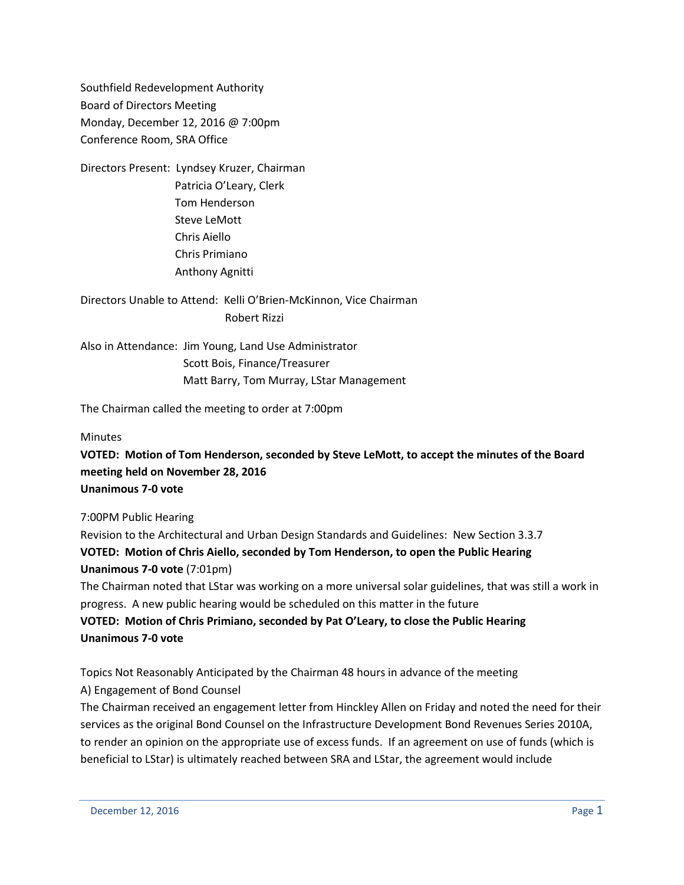Southfield Redevelopment Authority Board of Directors Meeting Monday, December 12, 2016 @ 7:00pm Conference Room, SRA Office

Directors Present: Lyndsey Kruzer, Chairman Patricia O'Leary, Clerk Tom Henderson Steve LeMott Chris Aiello Chris Primiano Anthony Agnitti

Directors Unable to Attend: Kelli O'Brien-McKinnon, Vice Chairman Robert Rizzi

Also in Attendance: Jim Young, Land Use Administrator Scott Bois, Finance/Treasurer Matt Barry, Tom Murray, LStar Management

The Chairman called the meeting to order at 7:00pm

**Minutes** 

**VOTED: Motion of Tom Henderson, seconded by Steve LeMott, to accept the minutes of the Board meeting held on November 28, 2016 Unanimous 7-0 vote**

7:00PM Public Hearing

Revision to the Architectural and Urban Design Standards and Guidelines: New Section 3.3.7 **VOTED: Motion of Chris Aiello, seconded by Tom Henderson, to open the Public Hearing Unanimous 7-0 vote** (7:01pm)

The Chairman noted that LStar was working on a more universal solar guidelines, that was still a work in progress. A new public hearing would be scheduled on this matter in the future

**VOTED: Motion of Chris Primiano, seconded by Pat O'Leary, to close the Public Hearing Unanimous 7-0 vote**

Topics Not Reasonably Anticipated by the Chairman 48 hours in advance of the meeting A) Engagement of Bond Counsel

The Chairman received an engagement letter from Hinckley Allen on Friday and noted the need for their services as the original Bond Counsel on the Infrastructure Development Bond Revenues Series 2010A, to render an opinion on the appropriate use of excess funds. If an agreement on use of funds (which is beneficial to LStar) is ultimately reached between SRA and LStar, the agreement would include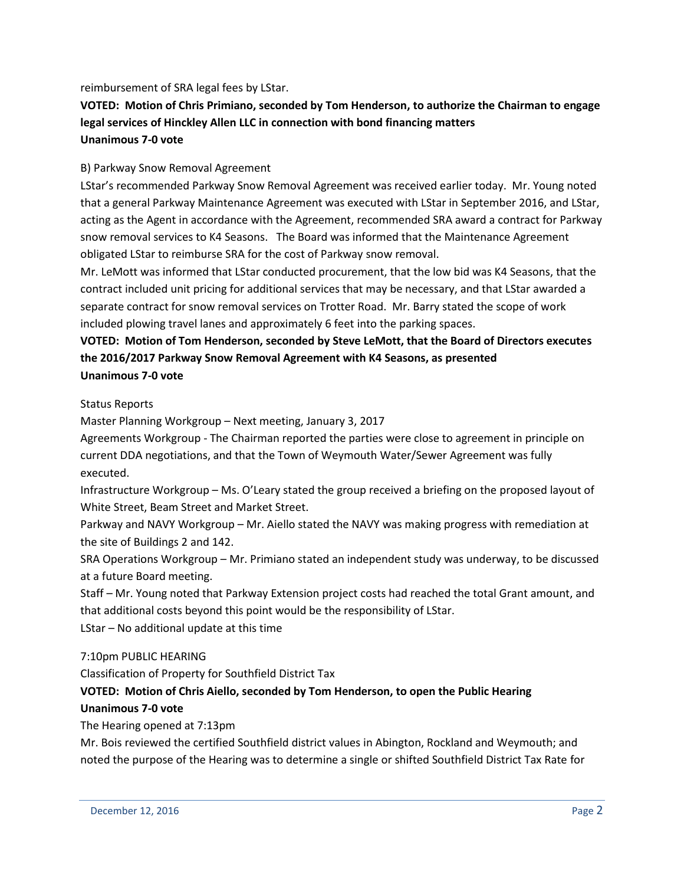reimbursement of SRA legal fees by LStar.

# **VOTED: Motion of Chris Primiano, seconded by Tom Henderson, to authorize the Chairman to engage legal services of Hinckley Allen LLC in connection with bond financing matters Unanimous 7-0 vote**

## B) Parkway Snow Removal Agreement

LStar's recommended Parkway Snow Removal Agreement was received earlier today. Mr. Young noted that a general Parkway Maintenance Agreement was executed with LStar in September 2016, and LStar, acting as the Agent in accordance with the Agreement, recommended SRA award a contract for Parkway snow removal services to K4 Seasons. The Board was informed that the Maintenance Agreement obligated LStar to reimburse SRA for the cost of Parkway snow removal.

Mr. LeMott was informed that LStar conducted procurement, that the low bid was K4 Seasons, that the contract included unit pricing for additional services that may be necessary, and that LStar awarded a separate contract for snow removal services on Trotter Road. Mr. Barry stated the scope of work included plowing travel lanes and approximately 6 feet into the parking spaces.

## **VOTED: Motion of Tom Henderson, seconded by Steve LeMott, that the Board of Directors executes the 2016/2017 Parkway Snow Removal Agreement with K4 Seasons, as presented Unanimous 7-0 vote**

## Status Reports

Master Planning Workgroup – Next meeting, January 3, 2017

Agreements Workgroup - The Chairman reported the parties were close to agreement in principle on current DDA negotiations, and that the Town of Weymouth Water/Sewer Agreement was fully executed.

Infrastructure Workgroup – Ms. O'Leary stated the group received a briefing on the proposed layout of White Street, Beam Street and Market Street.

Parkway and NAVY Workgroup – Mr. Aiello stated the NAVY was making progress with remediation at the site of Buildings 2 and 142.

SRA Operations Workgroup – Mr. Primiano stated an independent study was underway, to be discussed at a future Board meeting.

Staff – Mr. Young noted that Parkway Extension project costs had reached the total Grant amount, and that additional costs beyond this point would be the responsibility of LStar.

LStar – No additional update at this time

## 7:10pm PUBLIC HEARING

Classification of Property for Southfield District Tax

## **VOTED: Motion of Chris Aiello, seconded by Tom Henderson, to open the Public Hearing Unanimous 7-0 vote**

The Hearing opened at 7:13pm

Mr. Bois reviewed the certified Southfield district values in Abington, Rockland and Weymouth; and noted the purpose of the Hearing was to determine a single or shifted Southfield District Tax Rate for